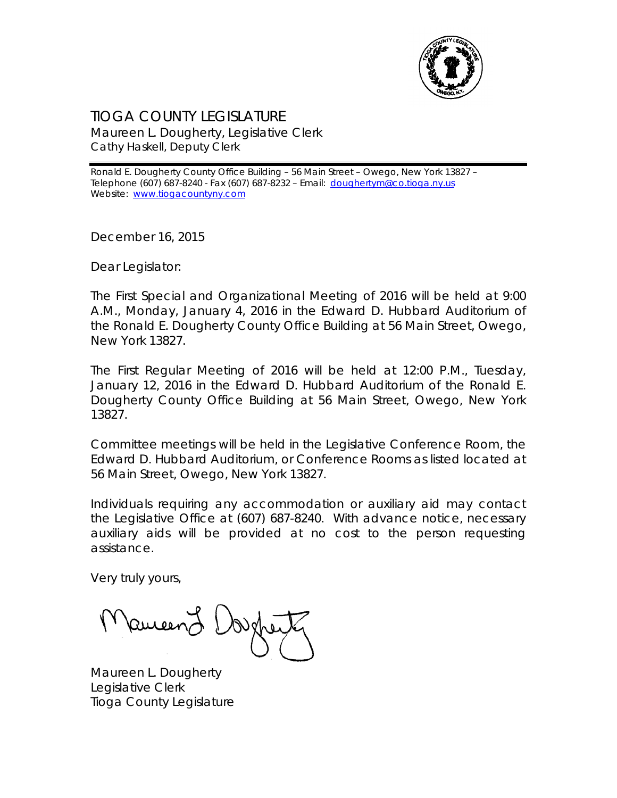

## TIOGA COUNTY LEGISLATURE Maureen L. Dougherty, Legislative Clerk Cathy Haskell, Deputy Clerk

Ronald E. Dougherty County Office Building – 56 Main Street – Owego, New York 13827 – Telephone (607) 687-8240 - Fax (607) 687-8232 - Email: [doughertym@co.tioga.ny.us](mailto:doughertym@co.tioga.ny.us) Website: [www.tiogacountyny.com](http://www.tiogacountyny.com/)

December 16, 2015

Dear Legislator:

The First Special and Organizational Meeting of 2016 will be held at 9:00 A.M., Monday, January 4, 2016 in the Edward D. Hubbard Auditorium of the Ronald E. Dougherty County Office Building at 56 Main Street, Owego, New York 13827.

The First Regular Meeting of 2016 will be held at 12:00 P.M., Tuesday, January 12, 2016 in the Edward D. Hubbard Auditorium of the Ronald E. Dougherty County Office Building at 56 Main Street, Owego, New York 13827.

Committee meetings will be held in the Legislative Conference Room, the Edward D. Hubbard Auditorium, or Conference Rooms as listed located at 56 Main Street, Owego, New York 13827.

Individuals requiring any accommodation or auxiliary aid may contact the Legislative Office at (607) 687-8240. With advance notice, necessary auxiliary aids will be provided at no cost to the person requesting assistance.

Very truly yours,

**Paucen)** 

Maureen L. Dougherty Legislative Clerk Tioga County Legislature